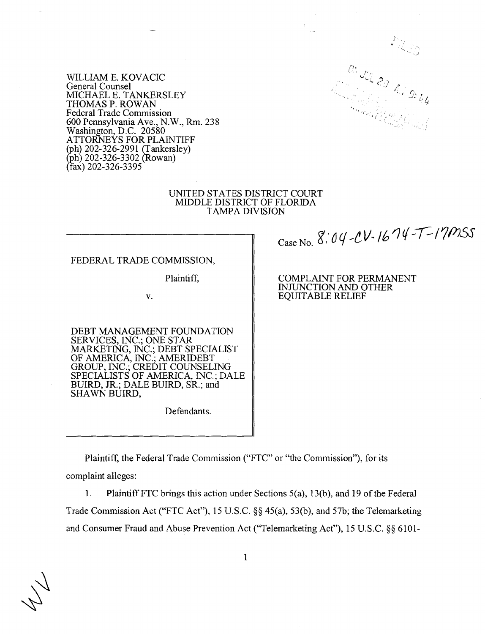

WILLIAM E. KOVACIC General Counsel MICHAEL E. TANKERSLEY THOMAS P. ROWAN Federal Trade Commission 600 Pennsylvania Ave., N.W., Rm. 238 Washington, D.C. 20580 ATTORNEYS FOR PLAINTIFF h) 202-326-2991  $(\pi h)$  202-326-3302 (Rowan)  $(fax)$  202-326-3395

#### UNITED STATES DISTRICT COURT MIDDLE DISTRICT OF FLORIDA TAMPA DIVISION

FEDERAL TRADE COMMISSION,

Plaintiff,

**v.** 

DEBT MANAGEMENT FOUNDATION SERVICES, INC.; ONE STAR MARKETING. INC.: DEBT SPECIALIST OF AMERICA; INC.'; AMERIDEBT GROUP, INC.; CREDIT COUNSELING SPECIALISTS OF AMERICA, INC.; DALE BUIRD, JR.; DALE BUIRD, SR.; and SHAWN BUIRD,

Defendants.

Case No. 8:04-CV-1674-T-17MSS

COMPLAINT FOR PERMANENT INJUNCTION AND OTHER EQUITABLE RELIEF

Plaintiff, the Federal Trade Commission ("FTC" or "the Commission"), for its complaint alleges:

1. Plaintiff FTC brings this action under Sections 5(a), 13(b), and 19 of the Federal Trade Commission Act ("FTC Act"), 15 U.S.C. §§ 45(a), 53(b), and 57b; the Telemarketing and Consumer Fraud and Abuse Prevention Act ("Telemarketing Act"), 15 U.S.C.  $\$  \ 6101-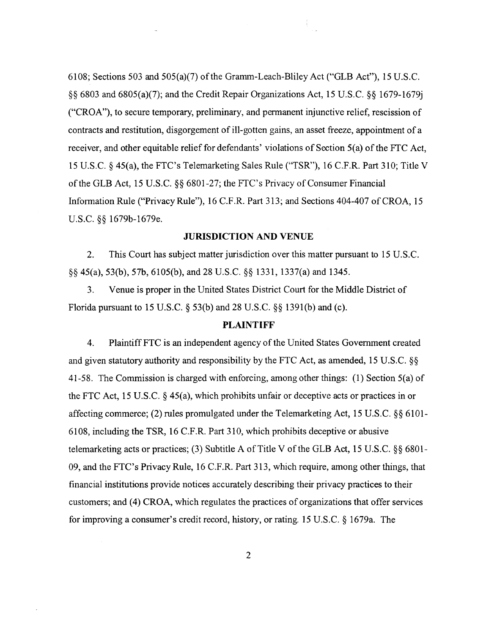6108; Sections 503 and 505(a)(7) of the Gramm-Leach-Bliley Act ("GLB Act"), 15 U.S.C. \$5 6803 and 6805(a)(7); and the Credit Repair Organizations Act, 15 U.S.C. §§ 1679-1679j ("CROA"), to secure temporary, preliminary, and permanent injunctive relief, rescission of contracts and restitution, disgorgement of ill-gotten gains, an asset freeze, appointment of a receiver, and other equitable relief for defendants' violations of Section 5(a) of the FTC Act, 15 U.S.C. § 45(a), the FTC's Telemarketing Sales Rule ("TSR"), 16 C.F.R. Part 310; Title V of the GLB Act, 15 U.S.C. **\$8** 6801-27; the FTC's Privacy of Consumer Financial Information Rule ("Privacy Rule"), 16 C.F.R. Part 3 13; and Sections 404-407 of CROA, 15 U.S.C. §§ 1679b-1679e.

# **JURISDICTION AND VENUE**

2. This Court has subject matter jurisdiction over this matter pursuant to 15 U.S.C. 44 45(a), 53(b), 57b, 6105(b), and 28 U.S.C. \$4 1331, 1337(a) and 1345.

3. Venue is proper in the United States District Court for the Middle District of Florida pursuant to 15 U.S.C. 53(b) and 28 U.S.C. §§ 1391(b) and (c).

# **PLAINTIFF**

4. Plaintiff FTC is an independent agency of the United States Government created and given statutory authority and responsibility by the FTC Act, as amended, 15 U.S.C.  $\S$ 41-58. The Commission is charged with enforcing, among other things: (1) Section 5(a) of the FTC Act, 15 U.S.C.  $\S$  45(a), which prohibits unfair or deceptive acts or practices in or affecting commerce; (2) rules promulgated under the Telemarketing Act, 15 U.S.C. *\$5* 6 101 - 6108, including the TSR, 16 C.F.R. Part 3 10, which prohibits deceptive or abusive telemarketing acts or practices; (3) Subtitle A of Title V of the GLB Act, 15 U.S.C. §§ 6801- 09, and the FTC's Privacy Rule, 16 C.F.R. Part 313, which require, among other things, that financial institutions provide notices accurately describing their privacy practices to their customers; and (4) CROA, which regulates the practices of organizations that offer services for improving a consumer's credit record, history, or rating. 15 U.S.C.  $\S$  1679a. The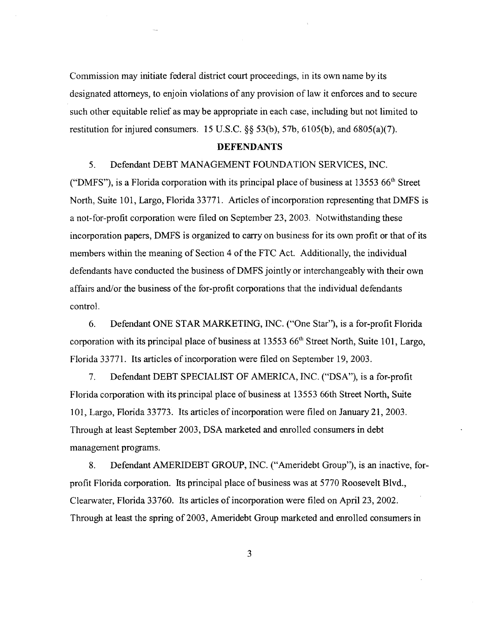Commission may initiate federal district court proceedings, in its own name by its designated attorneys, to enjoin violations of any provision of law it enforces and to secure such other equitable relief as may be appropriate in each case, including but not limited to restitution for injured consumers. 15 U.S.C. *\$5* 53(b), 57b, 6105(b), and 6805(a)(7).

## **DEFENDANTS**

# 5. Defendant DEBT MANAGEMENT FOUNDATION SERVICES, INC.

("DMFS"), is a Florida corporation with its principal place of business at 13553  $66<sup>th</sup>$  Street North, Suite 101, Largo, Florida 33771. Articles of incorporation representing that DMFS is a not-for-profit corporation were filed on September 23,2003. Notwithstanding these incorporation papers, DMFS is organized to carry on business for its own profit or that of its members within the meaning of Section 4 of the FTC Act. Additionally, the individual defendants have conducted the business of DMFS jointly or interchangeably with their own affairs and/or the business of the for-profit corporations that the individual defendants control.

6. Defendant ONE STAR MARKETING, INC. ("One Star"), is a for-profit Florida corporation with its principal place of business at 13553 66"' Street North, Suite 101, Largo, Florida 33771. Its articles of incorporation were filed on September 19,2003.

7. Defendant DEBT SPECIALIST OF AMERICA, INC. ("DSA"), is a for-profit Florida corporation with its principal place of business at 13553 66th Street North, Suite 101, Largo, Florida 33773. Its articles of incorporation were filed on January 21,2003. Through at least September 2003, DSA marketed and enrolled consumers in debt management programs.

8. Defendant AMERIDEBT GROUP, INC. ("Ameridebt Group"), is an inactive, forprofit Florida corporation. Its principal place of business was at 5770 Roosevelt Blvd., Clearwater, Florida 33760. Its articles of incorporation were filed on April 23,2002. Through at least the spring of 2003, Ameridebt Group marketed and enrolled consumers in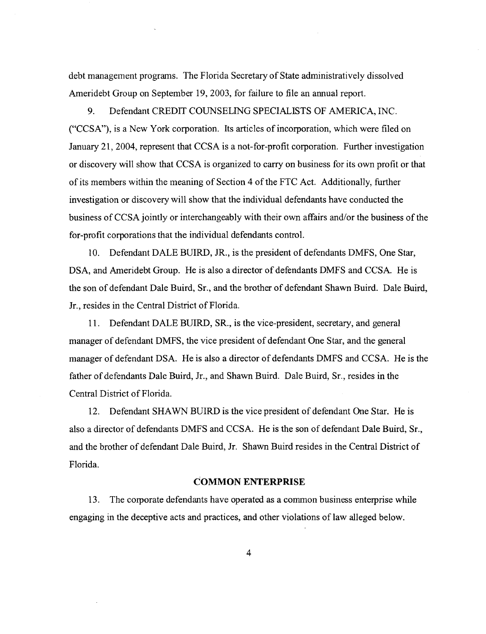debt management programs. The Florida Secretary of State administratively dissolved Ameridebt Group on September 19, 2003, for failure to file an annual report.

**9.** Defendant CREDIT COUNSELING SPECIALISTS OF AMERICA, INC. ("CCSA), is a New York corporation. Its articles of incorporation, which were filed on January 21,2004, represent that CCSA is a not-for-profit corporation. Further investigation or discovery will show that CCSA is organized to carry on business for its own profit or that of its members within the meaning of Section 4 of the FTC Act. Additionally, further investigation or discovery will show that the individual defendants have conducted the business of CCSA jointly or interchangeably with their own affairs and/or the business of the for-profit corporations that the individual defendants control.

10. Defendant DALE BUIRD, JR., is the president of defendants DMFS, One Star, DSA, and Ameridebt Group. He is also a director of defendants DMFS and CCSA. He is the son of defendant Dale Buird, Sr., and the brother of defendant Shawn Buird. Dale Buird, Jr., resides in the Central District of Florida.

11. Defendant DALE BUIRD, SR., is the vice-president, secretary, and general manager of defendant DMFS, the vice president of defendant One Star, and the general manager of defendant DSA. He is also a director of defendants DMFS and CCSA. He is the father of defendants Dale Buird, Jr., and Shawn Buird. Dale Buird, Sr., resides in the Central District of Florida.

12. Defendant SHAWN BUIRD is the vice president of defendant One Star. He is also a director of defendants DMFS and CCSA. He is the son of defendant Dale Buird, Sr., and the brother of defendant Dale Buird, Jr. Shawn Buird resides in the Central District of Florida.

## **COMMON ENTERPRISE**

13. The corporate defendants have operated as a common business enterprise while engaging in the deceptive acts and practices, and other violations of law alleged below.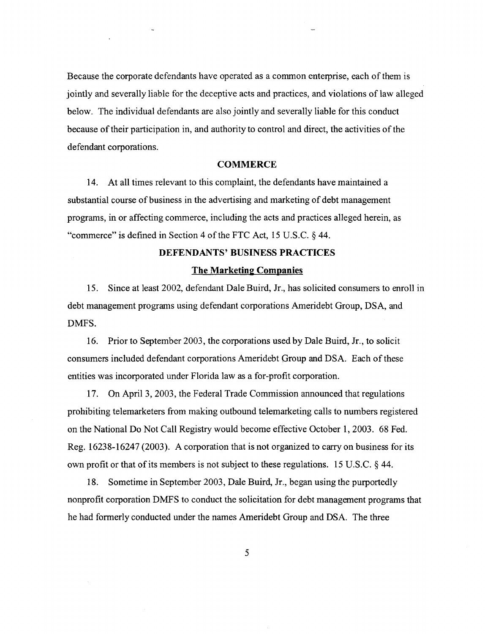Because the corporate defendants have operated as a common enterprise, each of them is jointly and severally liable for the deceptive acts and practices, and violations of law alleged below. The individual defendants are also jointly and severally liable for this conduct because of their participation in, and authority to control and direct, the activities of the defendant corporations.

# **COMMERCE**

14. At all times relevant to this complaint, the defendants have maintained a substantial course of business in the advertising and marketing of debt management programs, in or affecting commerce, including the acts and practices alleged herein, as "commerce" is defined in Section 4 of the FTC Act, 15 U.S.C. *5* 44.

# **DEFENDANTS' BUSINESS PRACTICES**

## **The Marketing Companies**

15. Since at least 2002, defendant Dale Buird, Jr., has solicited consumers to enroll in debt management programs using defendant corporations Ameridebt Group, DSA, and DMFS.

16. Prior to September 2003, the corporations used by Dale Buird, Jr., to solicit consumers included defendant corporations Ameridebt Group and DSA. Each of these entities was incorporated under Florida law as a for-profit corporation.

17. On April 3,2003, the Federal Trade Commission announced that regulations prohibiting telemarketers from making outbound telemarketing calls to numbers registered on the National Do Not Call Registry would become effective October 1,2003. 68 Fed. Reg. 16238-16247 (2003). A corporation that is not organized to carry on business for its own profit or that of its members is not subject to these regulations. 15 U.S.C. § 44.

18. Sometime in September 2003, Dale Buird, Jr., began using the purportedly nonprofit corporation DMFS to conduct the solicitation for debt management programs that he had formerly conducted under the names Ameridebt Group and DSA. The three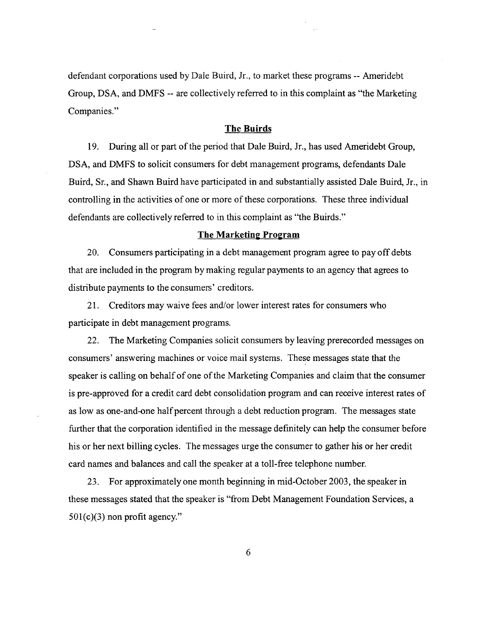defendant corporations used by Dale Buird, Jr., to market these programs -- Ameridebt Group, DSA, and DMFS -- are collectively referred to in this complaint as "the Marketing Companies."

## **The Buirds**

19. During all or part of the period that Dale Buird, Jr., has used Ameridebt Group, DSA, and DMFS to solicit consumers for debt management programs, defendants Dale Buird, Sr., and Shawn Buird have participated in and substantially assisted Dale Buird, Jr., in controlling in the activities of one or more of these corporations. These three individual defendants are collectively referred to in this complaint as "the Buirds."

### **The Marketing Program**

20. Consumers participating in a debt management program agree to pay off debts that are included in the program by making regular payments to an agency that agrees to distribute payments to the consumers' creditors.

21. Creditors may waive fees and/or lower interest rates for consumers who participate in debt management programs.

22. The Marketing Companies solicit consumers by leaving prerecorded messages on consumers' answering machines or voice mail systems. These messages state that the speaker is calling on behalf of one of the Marketing Companies and claim that the consumer is pre-approved for a credit card debt consolidation program and can receive interest rates of as low as one-and-one half percent through a debt reduction program. The messages state further that the corporation identified in the message definitely can help the consumer before his or her next billing cycles. The messages urge the consumer to gather his or her credit card names and balances and call the speaker at a toll-free telephone number.

23. For approximately one month beginning in mid-October 2003, the speaker in these messages stated that the speaker is "from Debt Management Foundation Services, a  $501(c)(3)$  non profit agency."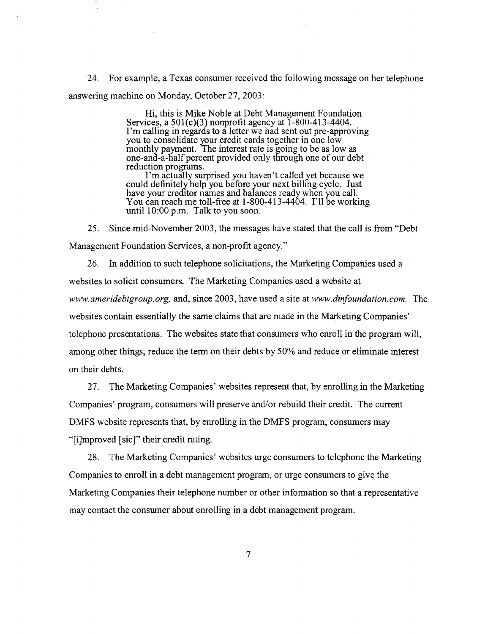24. For example, a Texas consumer received the following message on her telephone answering machine on Monday, October 27,2003:

> Hi, this is Mike Noble at Debt Management Foundation Services, a 501(c)(3) nonprofit agency at 1-800-413-4404. I'm calling in regards to a letter we had sent out pre-approving you to consolidate your credit cards together in one low monthly payment. The interest rate is going to be as low as reduction programs. one-and-a-half percent provided only through one of our debt

> I'm actually surprised you haven't called yet because we could definitely help you before your next billing cycle. Just have your creditor names and balances ready when you call. You can reach me toll-free at 1-800-4 13-4404. I'll be working until 10:OO p.m. Talk to you soon.

25. Since mid-November 2003, the messages have stated that the call is from "Debt Management Foundation Services, a non-profit agency."

26. In addition to such telephone solicitations, the Marketing Companies used a websites to solicit consumers. The Marketing Companies used a website at www. *ameridebtgroup.* org, and, since 2003, have used a site at www. *dmfoundation. com.* The websites contain essentially the same claims that are made in the Marketing Companies' telephone presentations. The websites state that consumers who enroll in the program will, among other things, reduce the term on their debts by 50% and reduce or eliminate interest on their debts.

27. The Marketing Companies' websites represent that, by enrolling in the Marketing Companies' program, consumers will preserve and/or rebuild their credit. The current DMFS website represents that, by enrolling in the DMFS program, consumers may "[i]mproved [sic]" their credit rating.

28. The Marketing Companies' websites urge consumers to telephone the Marketing Companies to enroll in a debt management program, or urge consumers to give the Marketing Companies their telephone number or other information so that a representative may contact the consumer about enrolling in a debt management program.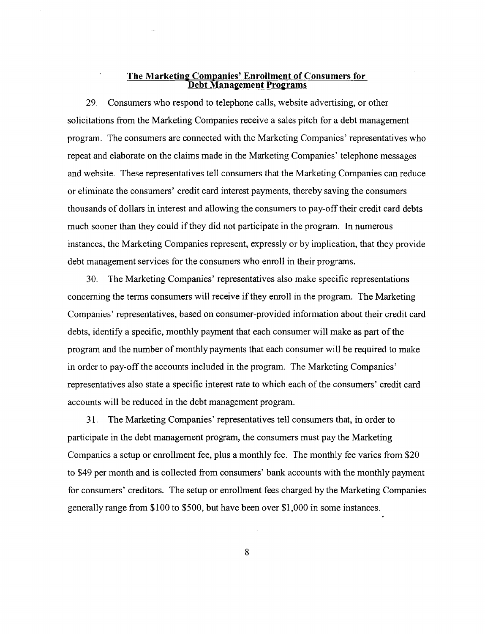# **The Marketing Companies' Enrollment of Consumers for Debt Management Programs**

29. Consumers who respond to telephone calls, website advertising, or other solicitations from the Marketing Companies receive a sales pitch for a debt management program. The consumers are connected with the Marketing Companies' representatives who repeat and elaborate on the claims made in the Marketing Companies' telephone messages and website. These representatives tell consumers that the Marketing Companies can reduce or eliminate the consumers' credit card interest payments, thereby saving the consumers thousands of dollars in interest and allowing the consumers to pay-off their credit card debts much sooner than they could if they did not participate in the program. In numerous instances, the Marketing Companies represent, expressly or by implication, that they provide debt management services for the consumers who enroll in their programs.

30. The Marketing Companies' representatives also make specific representations concerning the terms consumers will receive if they enroll in the program. The Marketing Companies' representatives, based on consumer-provided information about their credit card debts, identify a specific, monthly payment that each consumer will make as part of the program and the number of monthly payments that each consumer will be required to make in order to pay-off the accounts included in the program. The Marketing Companies' representatives also state a specific interest rate to which each of the consumers' credit card accounts will be reduced in the debt management program.

3 1. The Marketing Companies' representatives tell consumers that, in order to participate in the debt management program, the consumers must pay the Marketing Companies a setup or enrollment fee, plus a monthly fee. The monthly fee varies from \$20 to \$49 per month and is collected from consumers' bank accounts with the monthly payment for consumers' creditors. The setup or enrollment fees charged by the Marketing Companies generally range from \$100 to \$500, but have been over \$1,000 in some instances.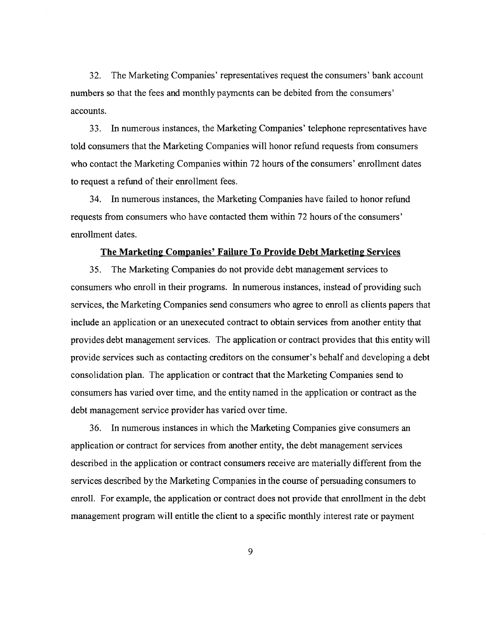32. The Marketing Companies' representatives request the consumers' bank account numbers so that the fees and monthly payments can be debited from the consumers' accounts.

33. In numerous instances, the Marketing Companies' telephone representatives have told consumers that the Marketing Companies will honor refund requests from consumers who contact the Marketing Companies within 72 hours of the consumers' enrollment dates to request a refund of their enrollment fees.

34. In numerous instances, the Marketing Companies have failed to honor refund requests from consumers who have contacted them within 72 hours of the consumers' enrollment dates.

## **The Marketing Companies' Failure To Provide Debt Marketing Services**

*35.* The Marketing Companies do not provide debt management services to consumers who enroll in their programs. In numerous instances, instead of providing such services, the Marketing Companies send consumers who agree to enroll as clients papers that include an application or an unexecuted contract to obtain services from another entity that provides debt management services. The application or contract provides that this entity will provide services such as contacting creditors on the consumer's behalf and developing a debt consolidation plan. The application or contract that the Marketing Companies send to consumers has varied over time, and the entity named in the application or contract as the debt management service provider has varied over time.

**36.** In numerous instances in which the Marketing Companies give consumers an application or contract for services from another entity, the debt management services described in the application or contract consumers receive are materially different from the services described by the Marketing Companies in the course of persuading consumers to enroll. For example, the application or contract does not provide that enrollment in the debt management program will entitle the client to a specific monthly interest rate or payment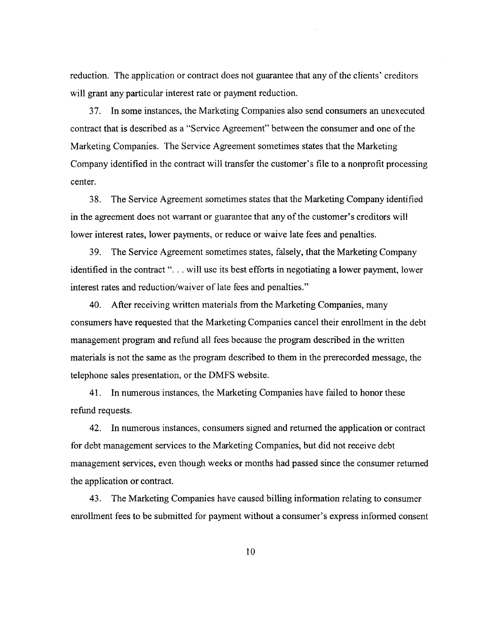reduction. The application or contract does not guarantee that any of the clients' creditors will grant any particular interest rate or payment reduction.

37. In some instances, the Marketing Companies also send consumers an unexecuted contract that is described as a "Service Agreement" between the consumer and one of the Marketing Companies. The Service Agreement sometimes states that the Marketing Company identified in the contract will transfer the customer's file to a nonprofit processing center.

38. The Service Agreement sometimes states that the Marketing Company identified in the agreement does not warrant or guarantee that any of the customer's creditors will lower interest rates, lower payments, or reduce or waive late fees and penalties.

39. The Service Agreement sometimes states, falsely, that the Marketing Company identified in the contract ". . . will use its best efforts in negotiating a lower payment, lower interest rates and reduction/waiver of late fees and penalties."

40. After receiving written materials from the Marketing Companies, many consumers have requested that the Marketing Companies cancel their enrollment in the debt management program and refund all fees because the program described in the written materials is not the same as the program described to them in the prerecorded message, the telephone sales presentation, or the DMFS website.

41. In numerous instances, the Marketing Companies have failed to honor these refund requests.

42. In numerous instances, consumers signed and returned the application or contract for debt management services to the Marketing Companies, but did not receive debt management services, even though weeks or months had passed since the consumer returned the application or contract.

43. The Marketing Companies have caused billing information relating to consumer enrollment fees to be submitted for payment without a consumer's express informed consent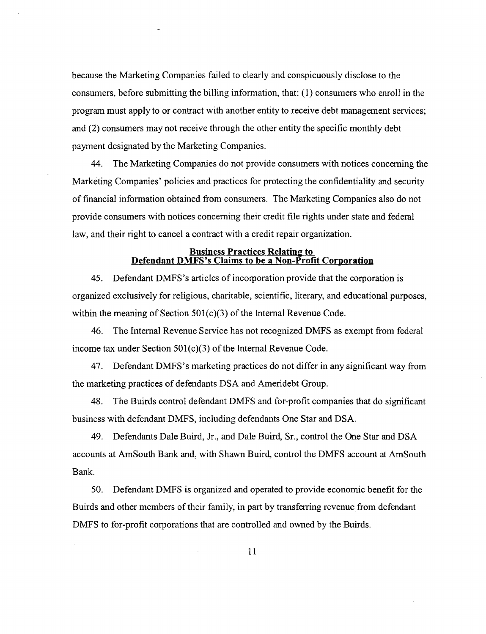because the Marketing Companies failed to clearly and conspicuously disclose to the consumers, before submitting the billing information, that: (1) consumers who enroll in the program must apply to or contract with another entity to receive debt management services; and (2) consumers may not receive through the other entity the specific monthly debt payment designated by the Marketing Companies.

44. The Marketing Companies do not provide consumers with notices concerning the Marketing Companies' policies and practices for protecting the confidentiality and security of financial information obtained from consumers. The Marketing Companies also do not provide consumers with notices concerning their credit file rights under state and federal law, and their right to cancel a contract with a credit repair organization.

### **Business Practices Relating to <u>Defendant DMFS's Claims to be a Non-Profit Corporation</u>**

45. Defendant DMFS's articles of incorporation provide that the corporation is organized exclusively for religious, charitable, scientific, literary, and educational purposes, within the meaning of Section 501(c)(3) of the Internal Revenue Code.

46. The Internal Revenue Service has not recognized DMFS as exempt from federal income tax under Section 501(c)(3) of the Internal Revenue Code.

47. Defendant DMFS's marketing practices do not differ in any significant way from the marketing practices of defendants DSA and Ameridebt Group.

48. The Buirds control defendant DMFS and for-profit companies that do significant business with defendant DMFS, including defendants One Star and DSA.

49. Defendants Dale Buird, Jr., and Dale Buird, Sr., control the One Star and DSA accounts at AmSouth Bank and, with Shawn Buird, control the DMFS account at AmSouth Bank.

50. Defendant DMFS is organized and operated to provide economic benefit for the Buirds and other members of their family, in part by transferring revenue from defendant DMFS to for-profit corporations that are controlled and owned by the Buirds.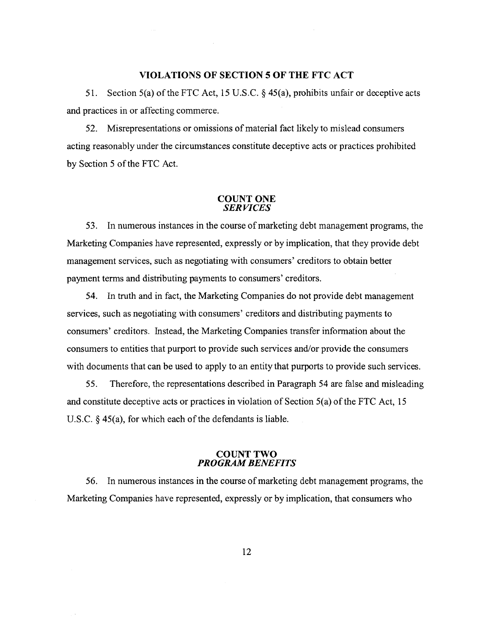#### **VIOLATIONS OF SECTION 5 OF THE FTC ACT**

51. Section 5(a) of the FTC Act, 15 U.S.C. *5* 45(a), prohibits unfair or deceptive acts and practices in or affecting commerce.

52. Misrepresentations or omissions of material fact likely to mislead consumers acting reasonably under the circumstances constitute deceptive acts or practices prohibited by Section 5 of the FTC Act.

### **COUNT ONE**  *SERVICES*

53. In numerous instances in the course of marketing debt management programs, the Marketing Companies have represented, expressly or by implication, that they provide debt management services, such as negotiating with consumers' creditors to obtain better payment terms and distributing payments to consumers' creditors.

54. In truth and in fact, the Marketing Companies do not provide debt management services, such as negotiating with consumers' creditors and distributing payments to consumers' creditors. Instead, the Marketing Companies transfer information about the consumers to entities that purport to provide such services and/or provide the consumers with documents that can be used to apply to an entity that purports to provide such services.

*55.* Therefore, the representations described in Paragraph 54 are false and misleading and constitute deceptive acts or practices in violation of Section 5(a) of the FTC Act, 15 U.S.C. § 45(a), for which each of the defendants is liable.

# **COUNT TWO PROGRAM** *BENEFITS*

56. In numerous instances in the course of marketing debt management programs, the Marketing Companies have represented, expressly or by implication, that consumers who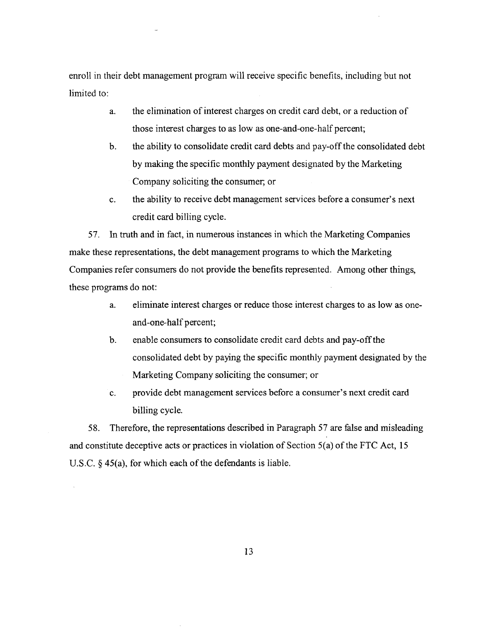enroll in their debt management program will receive specific benefits, including but not limited to:

- a. the elimination of interest charges on credit card debt, or a reduction of those interest charges to as low as one-and-one-half percent;
- b. the ability to consolidate credit card debts and pay-off the consolidated debt by making the specific monthly payment designated by the Marketing Company soliciting the consumer; or
- c. the ability to receive debt management services before a consumer's next credit card billing cycle.

57. In truth and in fact, in numerous instances in which the Marketing Companies make these representations, the debt management programs to which the Marketing Companies refer consumers do not provide the benefits represented. Among other things, these programs do not:

- a. eliminate interest charges or reduce those interest charges to as low as oneand-one-half percent;
- b. enable consumers to consolidate credit card debts and pay-off the consolidated debt by paying the specific monthly payment designated by the Marketing Company soliciting the consumer; or
- c. provide debt management services before a consumer's next credit card billing cycle.

58. Therefore, the representations described in Paragraph 57 are false and misleading and constitute deceptive acts or practices in violation of Section 5(a) of the FTC Act, 15 U.S.C. *5* 45(a), for which each of the defendants is liable.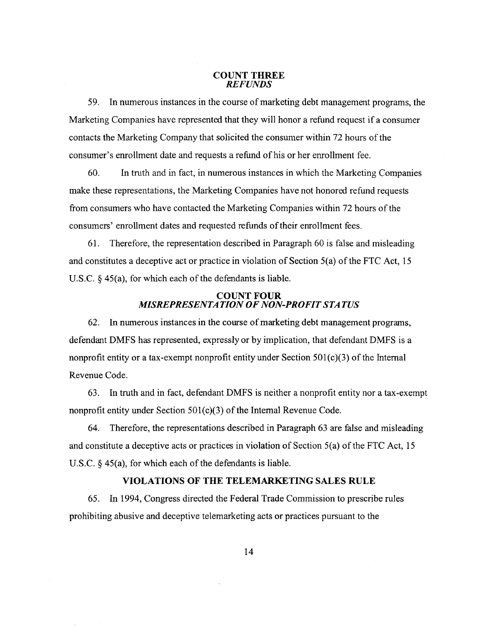#### **COUNT THREE**  *REFUNDS*

59. In numerous instances in the course of marketing debt management programs, the Marketing Companies have represented that they will honor a refund request if a consumer contacts the Marketing Company that solicited the consumer within 72 hours of the consumer's enrollment date and requests a refund of his or her enrollment fee.

60. In truth and in fact, in numerous instances in which the Marketing Companies make these representations, the Marketing Companies have not honored refund requests from consumers who have contacted the Marketing Companies within 72 hours of the consumers' enrollment dates and requested refunds of their enrollment fees.

61. Therefore, the representation described in Paragraph 60 is false and misleading and constitutes a deceptive act or practice in violation of Section 5(a) of the FTC Act, 15 U.S.C.  $\S$  45(a), for which each of the defendants is liable.

## **COUNT FOUR**  *MISREPRESENTATION OF NON-PROFIT STA TUS*

62. In numerous instances in the course of marketing debt management programs, defendant DMFS has represented, expressly or by implication, that defendant DMFS is a nonprofit entity or a tax-exempt nonprofit entity under Section  $501(c)(3)$  of the Internal Revenue Code.

63. In truth and in fact, defendant DMFS is neither a nonprofit entity nor a tax-exempt nonprofit entity under Section 501(c)(3) of the Internal Revenue Code.

64. Therefore, the representations described in Paragraph 63 are false and misleading and constitute a deceptive acts or practices in violation of Section 5(a) of the FTC Act, 15 U.S.C.  $\S$  45(a), for which each of the defendants is liable.

## **VIOLATIONS OF THE TELEMARKETING SALES RULE**

65. In 1994, Congress directed the Federal Trade Commission to prescribe rules prohibiting abusive and deceptive telemarketing acts or practices pursuant to the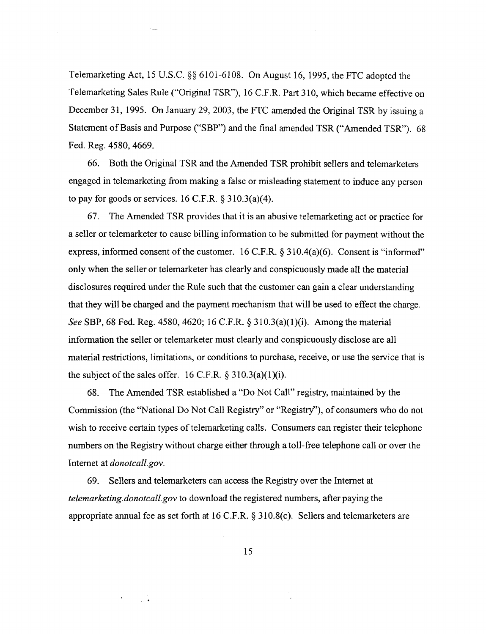Telemarketing Act, 15 U.S.C. **\$8** 61 01-61 08. On August 16, 1995, the FTC adopted the Telemarketing Sales Rule ("Original TSR"), 16 C.F.R. Part 310, which became effective on December 31, 1995. On January 29, 2003, the FTC amended the Original TSR by issuing a Statement of Basis and Purpose ("SBP") and the final amended TSR ("Amended TSR"). 68 Fed. Reg. 4580,4669.

66. Both the Original TSR and the Amended TSR prohibit sellers and telemarketers engaged in telemarketing from making a false or misleading statement to induce any person to pay for goods or services.  $16$  C.F.R.  $\S 310.3(a)(4)$ .

67. The Amended TSR provides that it is an abusive telemarketing act or practice for a seller or telemarketer to cause billing information to be submitted for payment without the express, informed consent of the customer. 16 C.F.R. § 310.4(a)(6). Consent is "informed" only when the seller or telemarketer has clearly and conspicuously made all the material disclosures required under the Rule such that the customer can gain a clear understanding that they will be charged and the payment mechanism that will be used to effect the charge. *See SBP*, 68 Fed. Reg. 4580, 4620; 16 C.F.R. § 310.3(a)(1)(i). Among the material information the seller or telemarketer must clearly and conspicuously disclose are all material restrictions, limitations, or conditions to purchase, receive, or use the service that is the subject of the sales offer.  $16$  C.F.R.  $\S 310.3(a)(1)(i)$ .

68. The Amended TSR established a "Do Not Call" registry, maintained by the Commission (the "National Do Not Call Registry" or "Registry"), of consumers who do not wish to receive certain types of telemarketing calls. Consumers can register their telephone numbers on the Registry without charge either through a toll-free telephone call or over the Internet at *donotcall.gov.* 

69. Sellers and telemarketers can access the Registry over the Internet at telemarketing.donotcall.gov to download the registered numbers, after paying the appropriate annual fee as set forth at 16 C.F.R. **tj 3** 10.8(c). Sellers and telemarketers are

15

 $\frac{1}{2}$  ,  $\frac{1}{2}$ 

 $\mathbf{r}$  .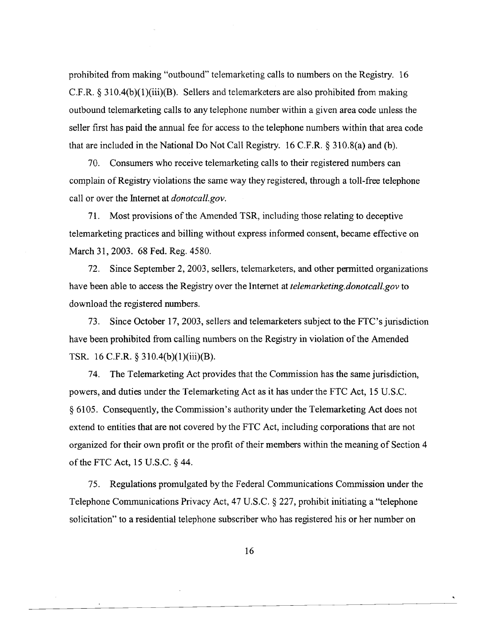prohibited from making "outbound" telemarketing calls to numbers on the Registry. 16 C.F.R.  $\S 310.4(b)(1)(iii)(B)$ . Sellers and telemarketers are also prohibited from making outbound telemarketing calls to any telephone number within a given area code unless the seller first has paid the annual fee for access to the telephone numbers within that area code that are included in the National Do Not Call Registry. 16 C.F.R. **9** 310.8(a) and (b).

70. Consumers who receive telemarketing calls to their registered numbers can complain of Registry violations the same way they registered, through a toll-free telephone call or over the Internet at *donotcall.gov.* 

71. Most provisions of the Amended TSR, including those relating to deceptive telemarketing practices and billing without express informed consent, became effective on March 31,2003. 68 Fed. Reg. 4580.

72. Since September 2, 2003, sellers, telemarketers, and other permitted organizations have been able to access the Registry over the Internet at *telemarketing.donotcall.gov* to download the registered numbers.

73. Since October 17,2003, sellers and telemarketers subject to the FTC's jurisdiction have been prohibited from calling numbers on the Registry in violation of the Amended TSR. 16 C.F.R. § 310.4(b)(1)(iii)(B).

74. The Telemarketing Act provides that the Commission has the same jurisdiction, powers, and duties under the Telemarketing Act as it has under the FTC Act, 15 U.S.C. 9 6105. Consequently, the Commission's authority under the Telemarketing Act does not extend to entities that are not covered by the FTC Act, including corporations that are not organized for their own profit or the profit of their members within the meaning of Section 4 of the FTC Act, 15 U.S.C. \$44.

75. Regulations promulgated by the Federal Communications Commission under the Telephone Communications Privacy Act, 47 U.S.C. § 227, prohibit initiating a "telephone solicitation" to a residential telephone subscriber who has registered his or her number on

 $\bullet$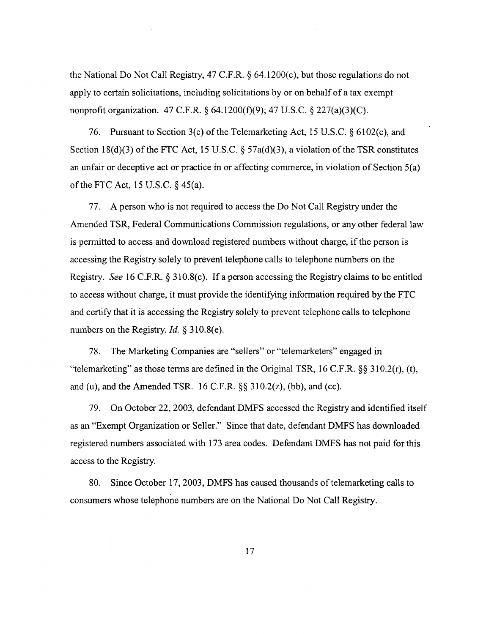the National Do Not Call Registry, 47 C.F.R. *5* 64.1200(c), but those regulations do not apply to certain solicitations, including solicitations by or on behalf of a tax exempt nonprofit organization. 47 C.F.R. **fj** 64.1200(f)(9); 47 U.S.C. § 227(a)(3)(C).

76. Pursuant to Section 3(c) of the Telemarketing Act, 15 U.S.C. **fj** 6102(c), and Section 18(d)(3) of the FTC Act, 15 U.S.C.  $\S$  57a(d)(3), a violation of the TSR constitutes an unfair or deceptive act or practice in or affecting commerce, in violation of Section 5(a) of the FTC Act, 15 U.S.C. *5* 45(a).

77. A person who is not required to access the Do Not Call Registry under the Amended TSR, Federal Communications Commission regulations, or any other federal law is permitted to access and download registered numbers without charge, if the person is accessing the Registry solely to prevent telephone calls to telephone numbers on the Registry. See 16 C.F.R.  $\&$  310.8(c). If a person accessing the Registry claims to be entitled to access without charge, it must provide the identifying information required by the FTC and certify that it is accessing the Registry solely to prevent telephone calls to telephone numbers on the Registry. *Id. 5* 310.8(e).

78. The Marketing Companies are "sellers" or "telemarketers" engaged in "telemarketing" as those terms are defined in the Original TSR, 16 C.F.R. *\$8* 3 10.2(r), (t), and (u), and the Amended TSR. 16 C.F.R. **\$8** 310.2(z), (bb), and (cc).

79. On October 22,2003, defendant DMFS accessed the Registry and identified itself as an "Exempt Organization or Seller." Since that date, defendant DMFS has downloaded registered numbers associated with 173 area codes. Defendant DMFS has not paid for this access to the Registry.

80. Since October 17,2003, DMFS has caused thousands of telemarketing calls to consumers whose telephone numbers are on the National Do Not Call Registry.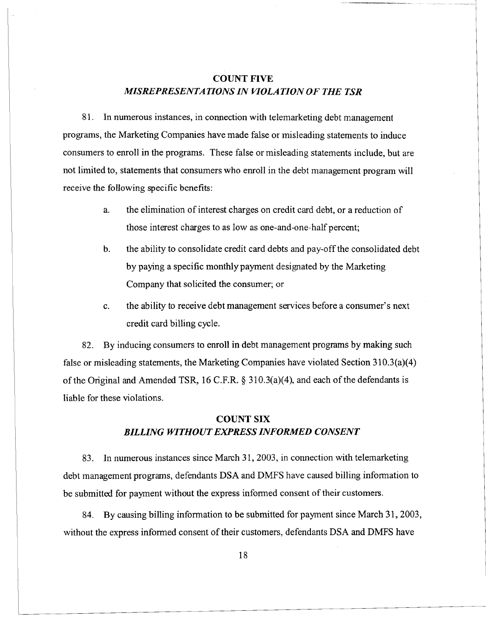# *COUNT FIVE MISREPRESENTATIONS IN WOLATION OF THE TSR*

**8** 1. In numerous instances, in connection with telemarketing debt management programs, the Marketing Companies have made false or misleading statements to induce consumers to enroll in the programs. These false or misleading statements include, but are not limited to, statements that consumers who enroll in the debt management program will receive the following specific benefits:

- a. the elimination of interest charges on credit card debt, or a reduction of those interest charges to as low as one-and-one-half percent;
- b. the ability to consolidate credit card debts and pay-off the consolidated debt by paying a specific monthly payment designated by the Marketing Company that solicited the consumer; or
- c. the ability to receive debt management services before a consumer's next credit card billing cycle.

82. By inducing consumers to enroll in debt management programs by making such false or misleading statements, the Marketing Companies have violated Section  $310.3(a)(4)$ of the Original and Amended TSR, 16 C.F.R. *5* 3 1 O.3(a)(4), and each of the defendants is liable for these violations.

# *COUNT SIX BILLING WITHOUT EXPRESS INFORMED CONSENT*

83. In numerous instances since March 31,2003, in connection with telemarketing debt management programs, defendants DSA and DMFS have caused billing information to be submitted for payment without the express informed consent of their customers.

84. By causing billing information to be submitted for payment since March 31, 2003, without the express informed consent of their customers, defendants DSA and DMFS have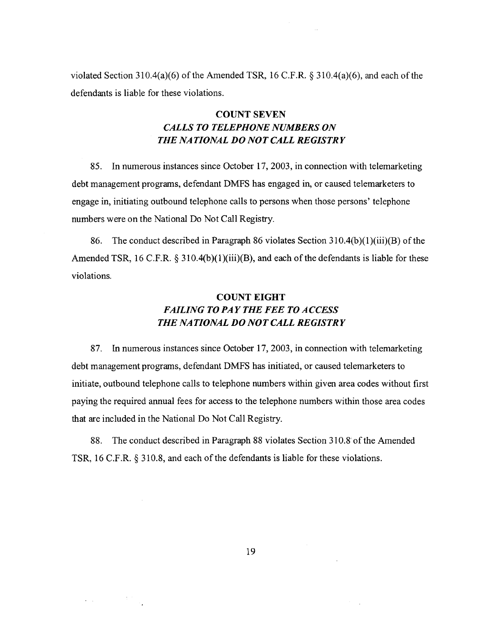violated Section 3 1 O.4(a)(6) of the Amended TSR, 16 C.F.R. *5* 3 1 O.4(a)(6), and each of the defendants is liable for these violations.

# **COUNT SEVEN**  *CALLS TO TELEPHONE NUMBERS ON THE NATIONAL DO NOT CALL REGISTRY*

85. In numerous instances since October 17,2003, in connection with telemarketing debt management programs, defendant DMFS has engaged in, or caused telemarketers to engage in, initiating outbound telephone calls to persons when those persons' telephone numbers were on the National Do Not Call Registry.

86. The conduct described in Paragraph 86 violates Section 310.4(b)(l)(iii)(B) of the Amended TSR, 16 C.F.R. § 310.4(b)(1)(iii)(B), and each of the defendants is liable for these violations.

# **COUNT EIGHT**  *FAILING TO PAY THE FEE TO ACCESS THE NATIONAL DO NOT CALL REGISTRY*

87. In numerous instances since October 17,2003, in connection with telemarketing debt management programs, defendant DMFS has initiated, or caused telemarketers to initiate, outbound telephone calls to telephone numbers within given area codes without first paying the required annual fees for access to the telephone numbers within those area codes that are included in the National Do Not Call Registry.

88. The conduct described in Paragraph 88 violates Section 310.8 of the Amended TSR, 16 C.F.R.  $\S 310.8$ , and each of the defendants is liable for these violations.

 $\sim$ 

 $\bullet$  -  $\bullet$  -  $\bullet$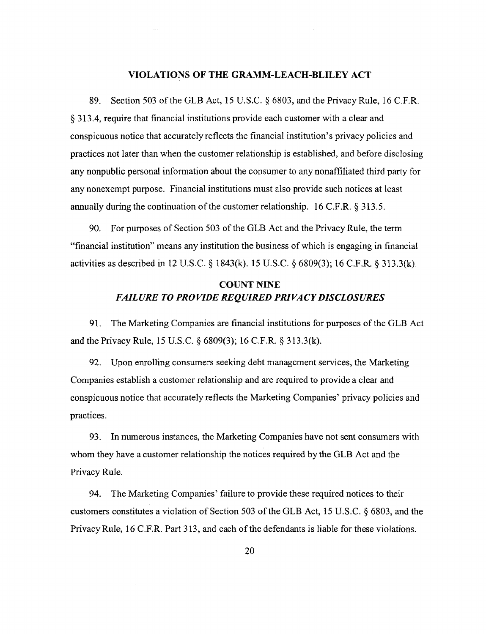## **VIOLATIONS OF THE GRAMM-LEACH-BLILEY ACT**

89. Section 503 of the GLB Act, 15 U.S.C. *5* 6803, and the Privacy Rule, 16 C.F.R. **8** 313.4, require that financial institutions provide each customer with a clear and conspicuous notice that accurately reflects the financial institution's privacy policies and practices not later than when the customer relationship is established, and before disclosing any nonpublic personal information about the consumer to any nonaffiliated third party for any nonexempt purpose. Financial institutions must also provide such notices at least annually during the continuation of the customer relationship. 16 C.F.R.  $\S$  313.5.

90. For purposes of Section 503 of the GLB Act and the Privacy Rule, the term "financial institution" means any institution the business of which is engaging in financial activities as described in 12 U.S.C. § 1843(k). 15 U.S.C. § 6809(3); 16 C.F.R. § 313.3(k).

# **COUNT NINE**  *FAILURE* **TO** *PROVIDE REQUIRED PRIVACY DISCLOSURES*

91. The Marketing Companies are financial institutions for purposes of the GLB Act and the Privacy Rule, 15 U.S.C. *5* 6809(3); 16 C.F.R. *5* 313.3(k).

92. Upon enrolling consumers seeking debt management services, the Marketing Companies establish a customer relationship and are required to provide a clear and conspicuous notice that accurately reflects the Marketing Companies' privacy policies and practices.

93. In numerous instances, the Marketing Companies have not sent consumers with whom they have a customer relationship the notices required by the GLB Act and the Privacy Rule.

94. The Marketing Companies' failure to provide these required notices to their customers constitutes a violation of Section 503 of the GLB Act, 15 U.S.C. § 6803, and the Privacy Rule, 16 C.F.R. Part 3 13, and each of the defendants is liable for these violations.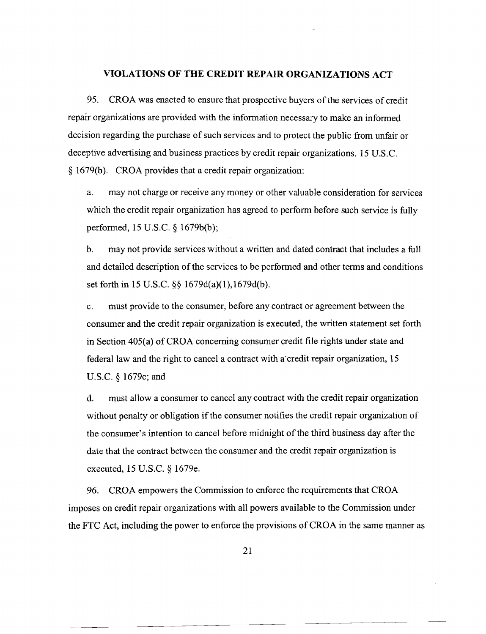### **VIOLATIONS OF THE CREDIT REPAIR ORGANIZATIONS ACT**

95. CROA was enacted to ensure that prospective buyers of the services of credit repair organizations are provided with the information necessary to make an informed decision regarding the purchase of such services and to protect the public from unfair or deceptive advertising and business practices by credit repair organizations. 15 U.S.C. **8** 1679(b). CROA provides that a credit repair organization:

a. may not charge or receive any money or other valuable consideration for services which the credit repair organization has agreed to perform before such service is fully performed, 15 U.S.C. § 1679b(b);

b. may not provide services without a written and dated contract that includes a full and detailed description of the services to be performed and other terms and conditions set forth in 15 U.S.C. §§ 1679d(a)(1),1679d(b).

c. must provide to the consumer, before any contract or agreement between the consumer and the credit repair organization is executed, the written statement set forth in Section 405(a) of CROA concerning consumer credit file rights under state and federal law and the right to cancel a contract with a'credit repair organization, 15 U.S.C. 5 1679c; and

d. must allow a consumer to cancel any contract with the credit repair organization without penalty or obligation if the consumer notifies the credit repair organization of the consumer's intention to cancel before midnight of the third business day after the date that the contract between the consumer and the credit repair organization is executed, 15 U.S.C. § 1679e.

96. CROA empowers the Commission to enforce the requirements that CROA imposes on credit repair organizations with all powers available to the Commission under the FTC Act, including the power to enforce the provisions of CROA in the same manner as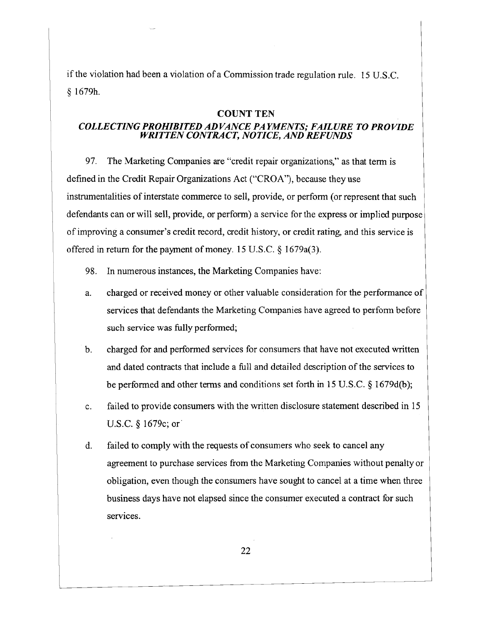if the violation had been a violation of a Commission trade regulation rule. 15 U.S.C. **9** 16791.

# **COUNT TEN**

# *COLLECTING PROHIBITED ADVANCE PAYMENTS; FAILURE TO PROVIDE WRITTEN CONTRACT, NOTICE, AND REFUNDS*

97. The Marketing Companies are "credit repair organizations," as that term is defined in the Credit Repair Organizations Act ("CROA"), because they use instrumentalities of interstate commerce to sell, provide, or perfom (or represent that such defendants can or will sell, provide, or perform) a service for the express or implied purpose of improving a consumer's credit record, credit history, or credit rating, and this service is offered in return for the payment of money. 15 U.S.C.  $\frac{1}{2}$  1679a(3).

- **98.** In numerous instances, the Marketing Companies have:
- charged or received money or other valuable consideration for the performance of  $\mathbf{a}$ . services that defendants the Marketing Companies have agreed to perform before such service was fully performed;
- $b<sub>1</sub>$ charged for and performed services for consumers that have not executed written and dated contracts that include a full and detailed description of the services to be performed and other terms and conditions set forth in 15 U.S.C. **8** 1679d(b);
- failed to provide consumers with the written disclosure statement described in 15  $\mathbf{c}$ . U.S.C.  $\S$  1679c; or
- failed to comply with the requests of consumers who seek to cancel any  $\mathbf{d}$ . agreement to purchase services from the Marketing Companies without penalty or obligation, even though the consumers have sought to cancel at a time when three business days have not elapsed since the consumer executed a contract for such services.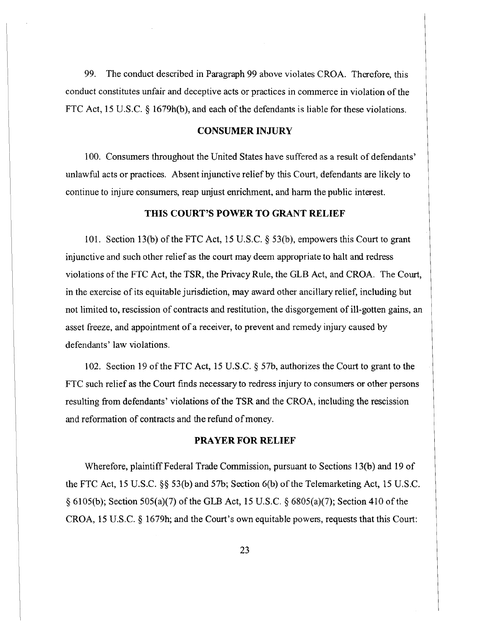99. The conduct described in Paragraph 99 above violates CROA. Therefore, this conduct constitutes unfair and deceptive acts or practices in commerce in violation of the FTC Act, 15 U.S.C. *5* 1679h(b), and each of the defendants is liable for these violations.

## **CONSUMER INJURY**

100. Consumers throughout the United States have suffered as a result of defendants' unlawful acts or practices. Absent injunctive relief by this Court, defendants are likely to continue to injure consumers, reap unjust enrichment, and ham the public interest.

# **THIS COURT'S POWER TO GRANT RELIEF**

101. Section 13(b) of the FTC Act, 15 U.S.C. *5* 53(b), empowers this Court to grant injunctive and such other relief as the court may deem appropriate to halt and redress violations of the FTC Act, the TSR, the Privacy Rule, the GLB Act, and CROA. The Cowt, in the exercise of its equitable jurisdiction, may award other ancillary relief, including but not limited to, rescission of contracts and restitution, the disgorgement of ill-gotten gains, an asset freeze, and appointment of a receiver, to prevent and remedy injury caused by defendants' law violations.

102. Section 19 of the FTC Act, 15 U.S.C. § 57b, authorizes the Court to grant to the FTC such relief as the Court finds necessary to redress injury to consumers or other persons resulting from defendants' violations of the TSR and the CROA, including the rescission and reformation of contracts and the refund of money.

# **PRAYER FOR RELIEF**

Wherefore, plaintiff Federal Trade Commission, pursuant to Sections 13(b) and 19 of the FTC Act, 15 U.S.C. *\$5* 53(b) and 57b; Section 6(b) of the Telemarketing Act, 15 U.S.C. *5* 6105(b); Section 505(a)(7) of the GLB Act, 15 U.S.C. *5* 6805(a)(7); Section 410 of the CROA, 15 U.S.C. § 1679h; and the Court's own equitable powers, requests that this Court: